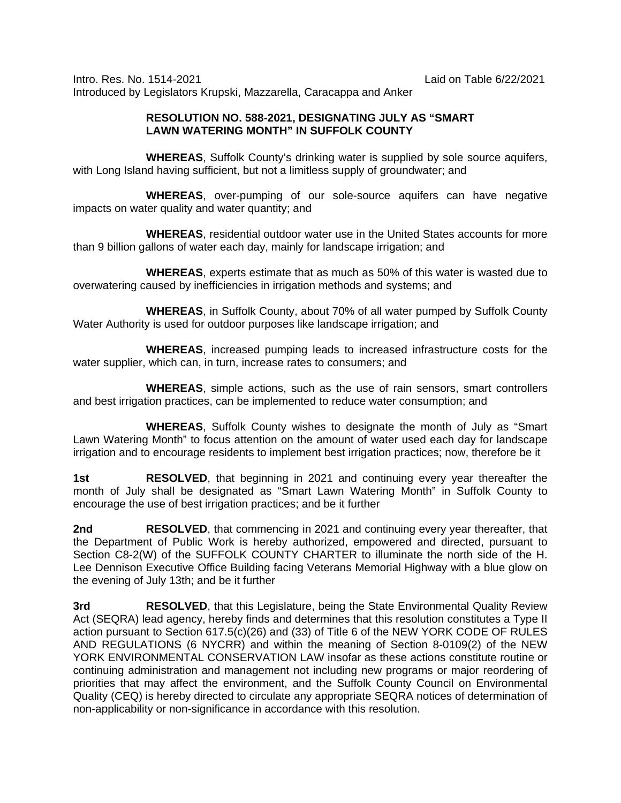Intro. Res. No. 1514-2021 Laid on Table 6/22/2021 Introduced by Legislators Krupski, Mazzarella, Caracappa and Anker

## **RESOLUTION NO. 588-2021, DESIGNATING JULY AS "SMART LAWN WATERING MONTH" IN SUFFOLK COUNTY**

**WHEREAS**, Suffolk County's drinking water is supplied by sole source aquifers, with Long Island having sufficient, but not a limitless supply of groundwater; and

**WHEREAS**, over-pumping of our sole-source aquifers can have negative impacts on water quality and water quantity; and

**WHEREAS**, residential outdoor water use in the United States accounts for more than 9 billion gallons of water each day, mainly for landscape irrigation; and

**WHEREAS**, experts estimate that as much as 50% of this water is wasted due to overwatering caused by inefficiencies in irrigation methods and systems; and

**WHEREAS**, in Suffolk County, about 70% of all water pumped by Suffolk County Water Authority is used for outdoor purposes like landscape irrigation; and

**WHEREAS**, increased pumping leads to increased infrastructure costs for the water supplier, which can, in turn, increase rates to consumers; and

**WHEREAS**, simple actions, such as the use of rain sensors, smart controllers and best irrigation practices, can be implemented to reduce water consumption; and

**WHEREAS**, Suffolk County wishes to designate the month of July as "Smart Lawn Watering Month" to focus attention on the amount of water used each day for landscape irrigation and to encourage residents to implement best irrigation practices; now, therefore be it

**1st RESOLVED**, that beginning in 2021 and continuing every year thereafter the month of July shall be designated as "Smart Lawn Watering Month" in Suffolk County to encourage the use of best irrigation practices; and be it further

**2nd RESOLVED**, that commencing in 2021 and continuing every year thereafter, that the Department of Public Work is hereby authorized, empowered and directed, pursuant to Section C8-2(W) of the SUFFOLK COUNTY CHARTER to illuminate the north side of the H. Lee Dennison Executive Office Building facing Veterans Memorial Highway with a blue glow on the evening of July 13th; and be it further

**3rd RESOLVED**, that this Legislature, being the State Environmental Quality Review Act (SEQRA) lead agency, hereby finds and determines that this resolution constitutes a Type II action pursuant to Section 617.5(c)(26) and (33) of Title 6 of the NEW YORK CODE OF RULES AND REGULATIONS (6 NYCRR) and within the meaning of Section 8-0109(2) of the NEW YORK ENVIRONMENTAL CONSERVATION LAW insofar as these actions constitute routine or continuing administration and management not including new programs or major reordering of priorities that may affect the environment, and the Suffolk County Council on Environmental Quality (CEQ) is hereby directed to circulate any appropriate SEQRA notices of determination of non-applicability or non-significance in accordance with this resolution.